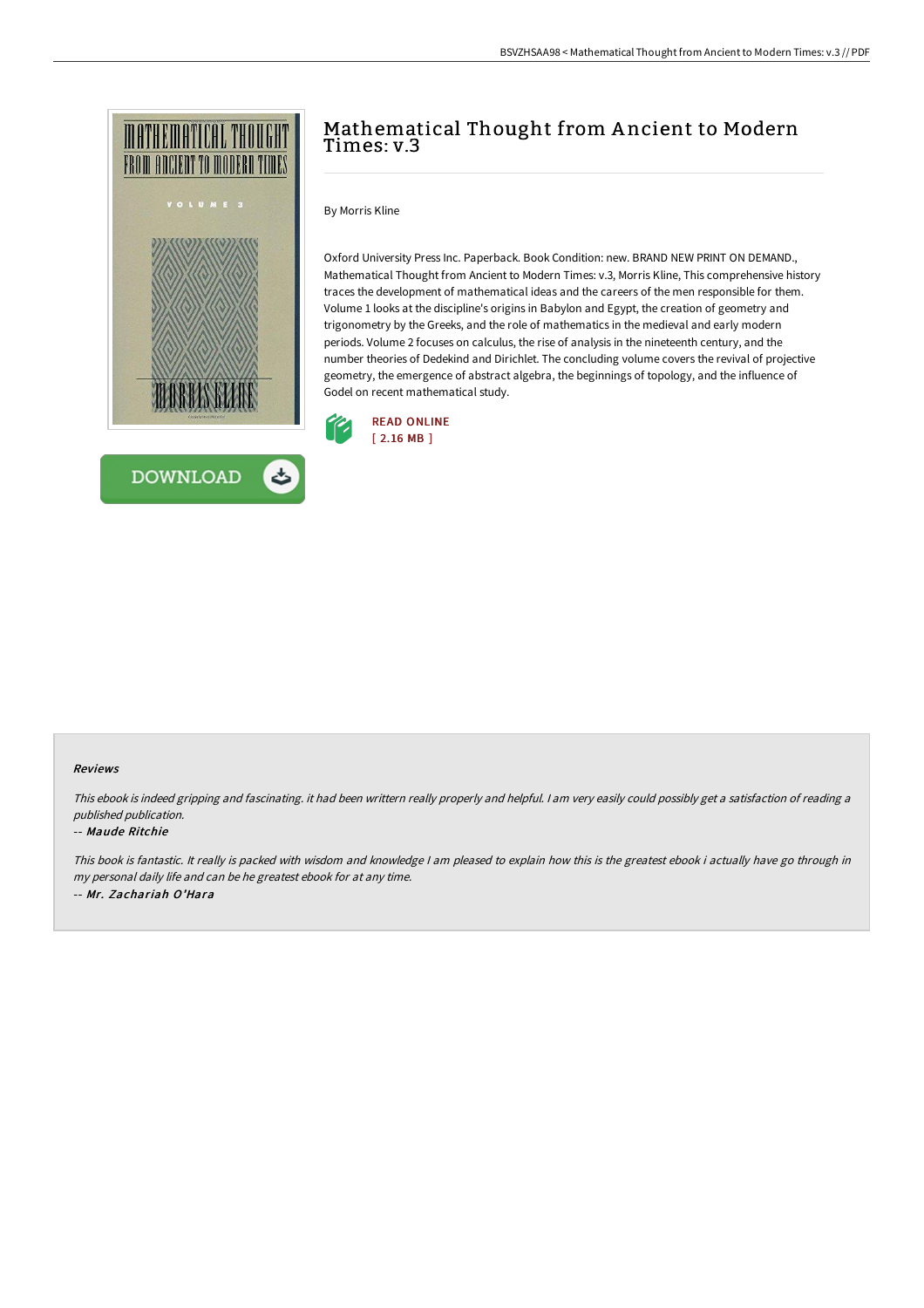



# Mathematical Thought from A ncient to Modern Times: v.3

By Morris Kline

Oxford University Press Inc. Paperback. Book Condition: new. BRAND NEW PRINT ON DEMAND., Mathematical Thought from Ancient to Modern Times: v.3, Morris Kline, This comprehensive history traces the development of mathematical ideas and the careers of the men responsible for them. Volume 1 looks at the discipline's origins in Babylon and Egypt, the creation of geometry and trigonometry by the Greeks, and the role of mathematics in the medieval and early modern periods. Volume 2 focuses on calculus, the rise of analysis in the nineteenth century, and the number theories of Dedekind and Dirichlet. The concluding volume covers the revival of projective geometry, the emergence of abstract algebra, the beginnings of topology, and the influence of Godel on recent mathematical study.



### Reviews

This ebook is indeed gripping and fascinating. it had been writtern really properly and helpful. <sup>I</sup> am very easily could possibly get <sup>a</sup> satisfaction of reading <sup>a</sup> published publication.

### -- Maude Ritchie

This book is fantastic. It really is packed with wisdom and knowledge <sup>I</sup> am pleased to explain how this is the greatest ebook i actually have go through in my personal daily life and can be he greatest ebook for at any time. -- Mr. Zachariah O'Hara